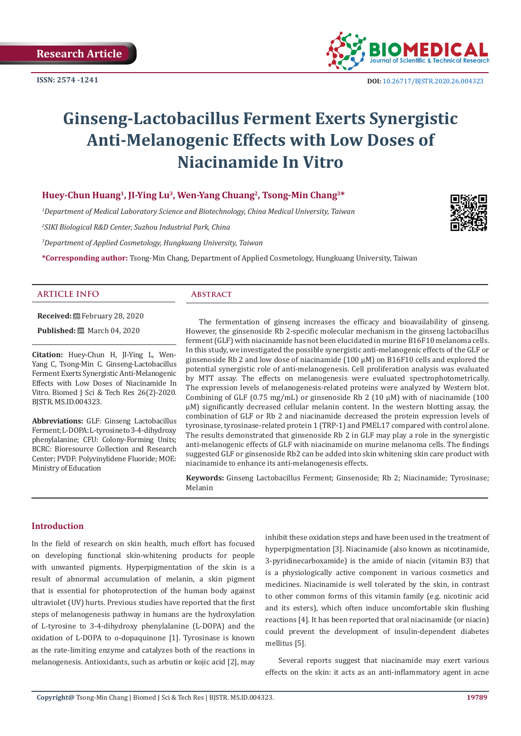

# **Ginseng-Lactobacillus Ferment Exerts Synergistic Anti-Melanogenic Effects with Low Doses of Niacinamide In Vitro**

# **Huey-Chun Huang1, JI-Ying Lu3, Wen-Yang Chuang2, Tsong-Min Chang3\***

*1 Department of Medical Laboratory Science and Biotechnology, China Medical University, Taiwan*

*2 SIKI Biological R&D Center, Suzhou Industrial Park, China*

*3 Department of Applied Cosmetology, Hungkuang University, Taiwan*

**\*Corresponding author:** Tsong-Min Chang, Department of Applied Cosmetology, Hungkuang University, Taiwan

#### **ARTICLE INFO Abstract**

**Received:** February 28, 2020

**Published:** ■ March 04, 2020

**Citation:** Huey-Chun H, JI-Ying L, Wen-Yang C, Tsong-Min C. Ginseng-Lactobacillus Ferment Exerts Synergistic Anti-Melanogenic Effects with Low Doses of Niacinamide In Vitro. Biomed J Sci & Tech Res 26(2)-2020. BJSTR. MS.ID.004323.

**Abbreviations:** GLF: Ginseng Lactobacillus Ferment; L-DOPA: L-tyrosine to 3-4-dihydroxy phenylalanine; CFU: Colony-Forming Units; BCRC: Bioresource Collection and Research Center; PVDF: Polyvinylidene Fluoride; MOE: Ministry of Education

The fermentation of ginseng increases the efficacy and bioavailability of ginseng. However, the ginsenoside Rb 2-specific molecular mechanism in the ginseng lactobacillus ferment (GLF) with niacinamide has not been elucidated in murine B16F10 melanoma cells. In this study, we investigated the possible synergistic anti-melanogenic effects of the GLF or ginsenoside Rb 2 and low dose of niacinamide (100 μM) on B16F10 cells and explored the potential synergistic role of anti-melanogenesis. Cell proliferation analysis was evaluated by MTT assay. The effects on melanogenesis were evaluated spectrophotometrically. The expression levels of melanogenesis-related proteins were analyzed by Western blot. Combining of GLF (0.75 mg/mL) or ginsenoside Rb 2 (10  $\mu$ M) with of niacinamide (100 μM) significantly decreased cellular melanin content. In the western blotting assay, the combination of GLF or Rb 2 and niacinamide decreased the protein expression levels of tyrosinase, tyrosinase-related protein 1 (TRP-1) and PMEL17 compared with control alone. The results demonstrated that ginsenoside Rb 2 in GLF may play a role in the synergistic anti-melanogenic effects of GLF with niacinamide on murine melanoma cells. The findings suggested GLF or ginsenoside Rb2 can be added into skin whitening skin care product with niacinamide to enhance its anti-melanogenesis effects.

**Keywords:** Ginseng Lactobacillus Ferment; Ginsenoside; Rb 2; Niacinamide; Tyrosinase; Melanin

#### **Introduction**

In the field of research on skin health, much effort has focused on developing functional skin-whitening products for people with unwanted pigments. Hyperpigmentation of the skin is a result of abnormal accumulation of melanin, a skin pigment that is essential for photoprotection of the human body against ultraviolet (UV) hurts. Previous studies have reported that the first steps of melanogenesis pathway in humans are the hydroxylation of L-tyrosine to 3-4-dihydroxy phenylalanine (L-DOPA) and the oxidation of L-DOPA to o-dopaquinone [1]. Tyrosinase is known as the rate-limiting enzyme and catalyzes both of the reactions in melanogenesis. Antioxidants, such as arbutin or kojic acid [2], may

inhibit these oxidation steps and have been used in the treatment of hyperpigmentation [3]. Niacinamide (also known as nicotinamide, 3-pyridinecarboxamide) is the amide of niacin (vitamin B3) that is a physiologically active component in various cosmetics and medicines. Niacinamide is well tolerated by the skin, in contrast to other common forms of this vitamin family (e.g. nicotinic acid and its esters), which often induce uncomfortable skin flushing reactions [4]. It has been reported that oral niacinamide (or niacin) could prevent the development of insulin-dependent diabetes mellitus [5].

Several reports suggest that niacinamide may exert various effects on the skin: it acts as an anti-inflammatory agent in acne

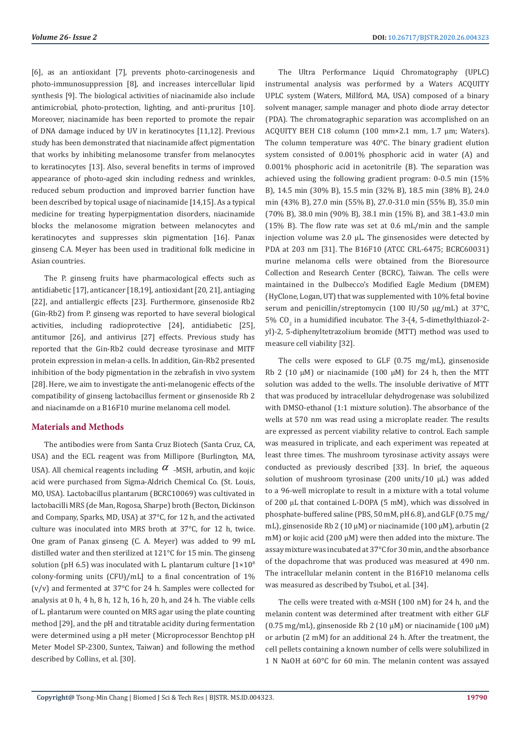[6], as an antioxidant [7], prevents photo-carcinogenesis and photo-immunosuppression [8], and increases intercellular lipid synthesis [9]. The biological activities of niacinamide also include antimicrobial, photo-protection, lighting, and anti-pruritus [10]. Moreover, niacinamide has been reported to promote the repair of DNA damage induced by UV in keratinocytes [11,12]. Previous study has been demonstrated that niacinamide affect pigmentation that works by inhibiting melanosome transfer from melanocytes to keratinocytes [13]. Also, several benefits in terms of improved appearance of photo-aged skin including redness and wrinkles, reduced sebum production and improved barrier function have been described by topical usage of niacinamide [14,15]. As a typical medicine for treating hyperpigmentation disorders, niacinamide blocks the melanosome migration between melanocytes and keratinocytes and suppresses skin pigmentation [16]. Panax ginseng C.A. Meyer has been used in traditional folk medicine in Asian countries.

The P. ginseng fruits have pharmacological effects such as antidiabetic [17], anticancer [18,19], antioxidant [20, 21], antiaging [22], and antiallergic effects [23]. Furthermore, ginsenoside Rb2 (Gin-Rb2) from P. ginseng was reported to have several biological activities, including radioprotective [24], antidiabetic [25], antitumor [26], and antivirus [27] effects. Previous study has reported that the Gin-Rb2 could decrease tyrosinase and MITF protein expression in melan-a cells. In addition, Gin-Rb2 presented inhibition of the body pigmentation in the zebrafish in vivo system [28]. Here, we aim to investigate the anti-melanogenic effects of the compatibility of ginseng lactobacillus ferment or ginsenoside Rb 2 and niacinamde on a B16F10 murine melanoma cell model.

# **Materials and Methods**

The antibodies were from Santa Cruz Biotech (Santa Cruz, CA, USA) and the ECL reagent was from Millipore (Burlington, MA, USA). All chemical reagents including  $\alpha$  -MSH, arbutin, and kojic acid were purchased from Sigma-Aldrich Chemical Co. (St. Louis, MO, USA). Lactobacillus plantarum (BCRC10069) was cultivated in lactobacilli MRS (de Man, Rogosa, Sharpe) broth (Becton, Dickinson and Company, Sparks, MD, USA) at 37°C, for 12 h, and the activated culture was inoculated into MRS broth at 37°C, for 12 h, twice. One gram of Panax ginseng (C. A. Meyer) was added to 99 mL distilled water and then sterilized at 121°C for 15 min. The ginseng solution (pH 6.5) was inoculated with L. plantarum culture  $[1 \times 10^8]$ colony-forming units (CFU)/mL] to a final concentration of 1% (v/v) and fermented at 37°C for 24 h. Samples were collected for analysis at 0 h, 4 h, 8 h, 12 h, 16 h, 20 h, and 24 h. The viable cells of L. plantarum were counted on MRS agar using the plate counting method [29], and the pH and titratable acidity during fermentation were determined using a pH meter (Microprocessor Benchtop pH Meter Model SP-2300, Suntex, Taiwan) and following the method described by Collins, et al. [30].

The Ultra Performance Liquid Chromatography (UPLC) instrumental analysis was performed by a Waters ACQUITY UPLC system (Waters, Millford, MA, USA) composed of a binary solvent manager, sample manager and photo diode array detector (PDA). The chromatographic separation was accomplished on an ACQUITY BEH C18 column (100 mm×2.1 mm, 1.7 μm; Waters). The column temperature was 40°C. The binary gradient elution system consisted of 0.001% phosphoric acid in water (A) and 0.001% phosphoric acid in acetonitrile (B). The separation was achieved using the following gradient program: 0-0.5 min (15% B), 14.5 min (30% B), 15.5 min (32% B), 18.5 min (38% B), 24.0 min (43% B), 27.0 min (55% B), 27.0-31.0 min (55% B), 35.0 min (70% B), 38.0 min (90% B), 38.1 min (15% B), and 38.1-43.0 min (15% B). The flow rate was set at 0.6 mL/min and the sample injection volume was 2.0 μL. The ginsenosides were detected by PDA at 203 nm [31]. The B16F10 (ATCC CRL-6475; BCRC60031) murine melanoma cells were obtained from the Bioresource Collection and Research Center (BCRC), Taiwan. The cells were maintained in the Dulbecco's Modified Eagle Medium (DMEM) (HyClone, Logan, UT) that was supplemented with 10% fetal bovine serum and penicillin/streptomycin (100 IU/50 μg/mL) at 37°C, 5%  $CO_2$  in a humidified incubator. The 3-(4, 5-dimethylthiazol-2yl)-2, 5-diphenyltetrazolium bromide (MTT) method was used to measure cell viability [32].

The cells were exposed to GLF (0.75 mg/mL), ginsenoside Rb 2 (10 μM) or niacinamide (100 μM) for 24 h, then the MTT solution was added to the wells. The insoluble derivative of MTT that was produced by intracellular dehydrogenase was solubilized with DMSO-ethanol (1:1 mixture solution). The absorbance of the wells at 570 nm was read using a microplate reader. The results are expressed as percent viability relative to control. Each sample was measured in triplicate, and each experiment was repeated at least three times. The mushroom tyrosinase activity assays were conducted as previously described [33]. In brief, the aqueous solution of mushroom tyrosinase (200 units/10 μL) was added to a 96-well microplate to result in a mixture with a total volume of 200 μL that contained L-DOPA (5 mM), which was dissolved in phosphate-buffered saline (PBS, 50 mM, pH 6.8), and GLF (0.75 mg/ mL), ginsenoside Rb 2 (10 μM) or niacinamide (100 μM), arbutin (2 mM) or kojic acid (200 μM) were then added into the mixture. The assay mixture was incubated at 37°C for 30 min, and the absorbance of the dopachrome that was produced was measured at 490 nm. The intracellular melanin content in the B16F10 melanoma cells was measured as described by Tsuboi, et al. [34].

The cells were treated with α-MSH (100 nM) for 24 h, and the melanin content was determined after treatment with either GLF (0.75 mg/mL), ginsenoside Rb 2 (10 μM) or niacinamide (100 μM) or arbutin (2 mM) for an additional 24 h. After the treatment, the cell pellets containing a known number of cells were solubilized in 1 N NaOH at 60°C for 60 min. The melanin content was assayed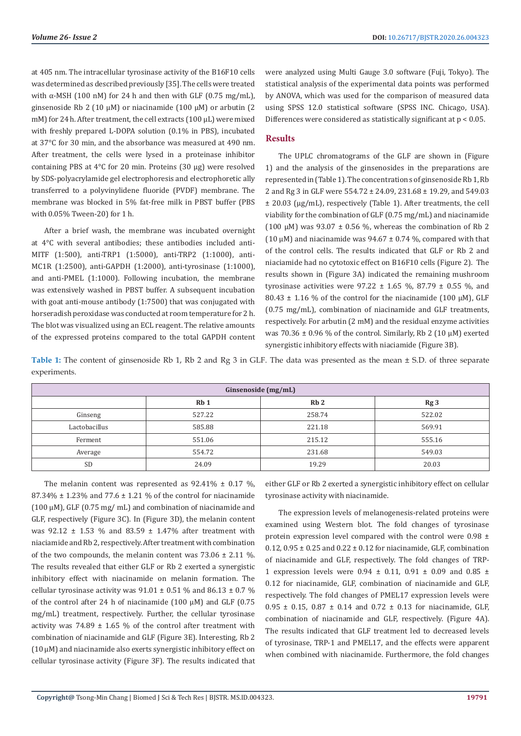at 405 nm. The intracellular tyrosinase activity of the B16F10 cells was determined as described previously [35]. The cells were treated with α-MSH (100 nM) for 24 h and then with GLF  $(0.75 \text{ mg/mL})$ . ginsenoside Rb 2 (10 μM) or niacinamide (100 μM) or arbutin (2 mM) for 24 h. After treatment, the cell extracts (100 μL) were mixed with freshly prepared L-DOPA solution (0.1% in PBS), incubated at 37°C for 30 min, and the absorbance was measured at 490 nm. After treatment, the cells were lysed in a proteinase inhibitor containing PBS at 4°C for 20 min. Proteins (30 μg) were resolved by SDS-polyacrylamide gel electrophoresis and electrophoretic ally transferred to a polyvinylidene fluoride (PVDF) membrane. The membrane was blocked in 5% fat-free milk in PBST buffer (PBS with 0.05% Tween-20) for 1 h.

After a brief wash, the membrane was incubated overnight at 4°C with several antibodies; these antibodies included anti-MITF (1:500), anti-TRP1 (1:5000), anti-TRP2 (1:1000), anti-MC1R (1:2500), anti-GAPDH (1:2000), anti-tyrosinase (1:1000), and anti-PMEL (1:1000). Following incubation, the membrane was extensively washed in PBST buffer. A subsequent incubation with goat anti-mouse antibody (1:7500) that was conjugated with horseradish peroxidase was conducted at room temperature for 2 h. The blot was visualized using an ECL reagent. The relative amounts of the expressed proteins compared to the total GAPDH content were analyzed using Multi Gauge 3.0 software (Fuji, Tokyo). The statistical analysis of the experimental data points was performed by ANOVA, which was used for the comparison of measured data using SPSS 12.0 statistical software (SPSS INC. Chicago, USA). Differences were considered as statistically significant at  $p < 0.05$ .

# **Results**

The UPLC chromatograms of the GLF are shown in (Figure 1) and the analysis of the ginsenosides in the preparations are represented in (Table 1). The concentration s of ginsenoside Rb 1, Rb 2 and Rg 3 in GLF were 554.72 ± 24.09, 231.68 ± 19.29, and 549.03 ± 20.03 (μg/mL), respectively (Table 1). After treatments, the cell viability for the combination of GLF (0.75 mg/mL) and niacinamide (100 μM) was  $93.07 \pm 0.56$  %, whereas the combination of Rb 2 (10  $\mu$ M) and niacinamide was 94.67  $\pm$  0.74 %, compared with that of the control cells. The results indicated that GLF or Rb 2 and niaciamide had no cytotoxic effect on B16F10 cells (Figure 2). The results shown in (Figure 3A) indicated the remaining mushroom tyrosinase activities were  $97.22 \pm 1.65$  %, 87.79  $\pm$  0.55 %, and  $80.43 \pm 1.16$  % of the control for the niacinamide (100  $\mu$ M), GLF (0.75 mg/mL), combination of niacinamide and GLF treatments, respectively. For arbutin (2 mM) and the residual enzyme activities was 70.36 ± 0.96 % of the control. Similarly, Rb 2 (10 μM) exerted synergistic inhibitory effects with niaciamide (Figure 3B).

**Table 1:** The content of ginsenoside Rb 1, Rb 2 and Rg 3 in GLF. The data was presented as the mean ± S.D. of three separate experiments.

| Ginsenoside (mg/mL) |                 |        |                 |
|---------------------|-----------------|--------|-----------------|
|                     | Rb <sub>1</sub> | Rb2    | Rg <sub>3</sub> |
| Ginseng             | 527.22          | 258.74 | 522.02          |
| Lactobacillus       | 585.88          | 221.18 | 569.91          |
| Ferment             | 551.06          | 215.12 | 555.16          |
| Average             | 554.72          | 231.68 | 549.03          |
| <b>SD</b>           | 24.09           | 19.29  | 20.03           |

The melanin content was represented as  $92.41\% \pm 0.17\%$ . 87.34%  $\pm$  1.23% and 77.6  $\pm$  1.21 % of the control for niacinamide (100 μM), GLF (0.75 mg/ mL) and combination of niacinamide and GLF, respectively (Figure 3C). In (Figure 3D), the melanin content was 92.12  $\pm$  1.53 % and 83.59  $\pm$  1.47% after treatment with niaciamide and Rb 2, respectively. After treatment with combination of the two compounds, the melanin content was  $73.06 \pm 2.11$  %. The results revealed that either GLF or Rb 2 exerted a synergistic inhibitory effect with niacinamide on melanin formation. The cellular tyrosinase activity was  $91.01 \pm 0.51$  % and  $86.13 \pm 0.7$  % of the control after 24 h of niacinamide (100 μM) and GLF (0.75 mg/mL) treatment, respectively. Further, the cellular tyrosinase activity was  $74.89 \pm 1.65$  % of the control after treatment with combination of niacinamide and GLF (Figure 3E). Interesting, Rb 2 (10 μM) and niacinamide also exerts synergistic inhibitory effect on cellular tyrosinase activity (Figure 3F). The results indicated that

either GLF or Rb 2 exerted a synergistic inhibitory effect on cellular tyrosinase activity with niacinamide.

The expression levels of melanogenesis-related proteins were examined using Western blot. The fold changes of tyrosinase protein expression level compared with the control were 0.98 ± 0.12, 0.95  $\pm$  0.25 and 0.22  $\pm$  0.12 for niacinamide, GLF, combination of niacinamide and GLF, respectively. The fold changes of TRP-1 expression levels were  $0.94 \pm 0.11$ ,  $0.91 \pm 0.09$  and  $0.85 \pm 1.09$ 0.12 for niacinamide, GLF, combination of niacinamide and GLF, respectively. The fold changes of PMEL17 expression levels were  $0.95 \pm 0.15$ ,  $0.87 \pm 0.14$  and  $0.72 \pm 0.13$  for niacinamide, GLF, combination of niacinamide and GLF, respectively. (Figure 4A). The results indicated that GLF treatment led to decreased levels of tyrosinase, TRP-1 and PMEL17, and the effects were apparent when combined with niacinamide. Furthermore, the fold changes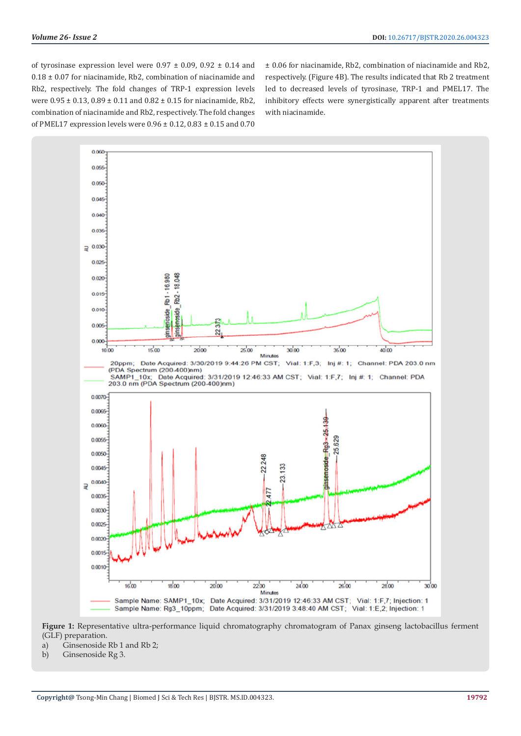of tyrosinase expression level were  $0.97 \pm 0.09$ ,  $0.92 \pm 0.14$  and 0.18 ± 0.07 for niacinamide, Rb2, combination of niacinamide and Rb2, respectively. The fold changes of TRP-1 expression levels were 0.95 ± 0.13, 0.89 ± 0.11 and 0.82 ± 0.15 for niacinamide, Rb2, combination of niacinamide and Rb2, respectively. The fold changes of PMEL17 expression levels were 0.96 ± 0.12, 0.83 ± 0.15 and 0.70

± 0.06 for niacinamide, Rb2, combination of niacinamide and Rb2, respectively. (Figure 4B). The results indicated that Rb 2 treatment led to decreased levels of tyrosinase, TRP-1 and PMEL17. The inhibitory effects were synergistically apparent after treatments with niacinamide.



**Figure 1:** Representative ultra-performance liquid chromatography chromatogram of Panax ginseng lactobacillus ferment (GLF) preparation.

- a) Ginsenoside Rb 1 and Rb 2;
- b) Ginsenoside Rg 3.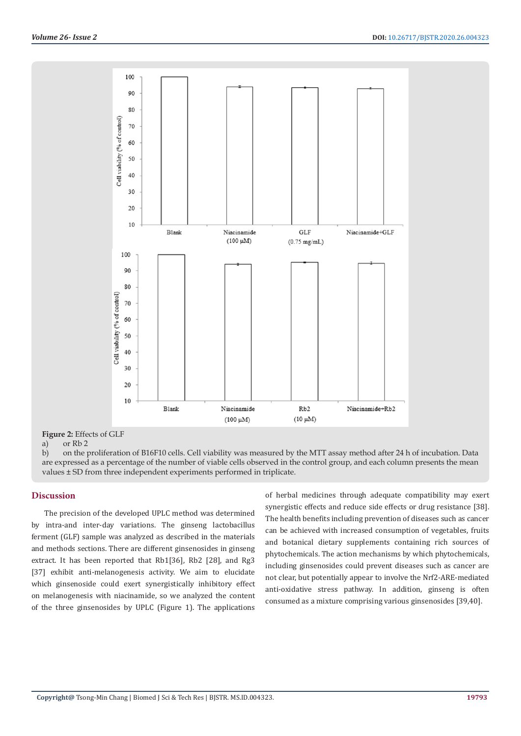

**Figure 2:** Effects of GLF

a) or Rb 2

b) on the proliferation of B16F10 cells. Cell viability was measured by the MTT assay method after 24 h of incubation. Data are expressed as a percentage of the number of viable cells observed in the control group, and each column presents the mean values ± SD from three independent experiments performed in triplicate.

# **Discussion**

The precision of the developed UPLC method was determined by intra-and inter-day variations. The ginseng lactobacillus ferment (GLF) sample was analyzed as described in the materials and methods sections. There are different ginsenosides in ginseng extract. It has been reported that Rb1[36], Rb2 [28], and Rg3 [37] exhibit anti-melanogenesis activity. We aim to elucidate which ginsenoside could exert synergistically inhibitory effect on melanogenesis with niacinamide, so we analyzed the content of the three ginsenosides by UPLC (Figure 1). The applications

of herbal medicines through adequate compatibility may exert synergistic effects and reduce side effects or drug resistance [38]. The health benefits including prevention of diseases such as cancer can be achieved with increased consumption of vegetables, fruits and botanical dietary supplements containing rich sources of phytochemicals. The action mechanisms by which phytochemicals, including ginsenosides could prevent diseases such as cancer are not clear, but potentially appear to involve the Nrf2-ARE-mediated anti-oxidative stress pathway. In addition, ginseng is often consumed as a mixture comprising various ginsenosides [39,40].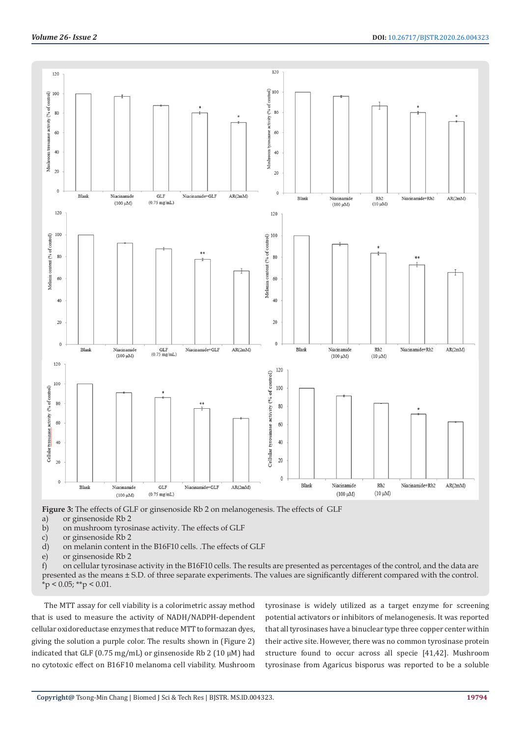

**Figure 3:** The effects of GLF or ginsenoside Rb 2 on melanogenesis. The effects of GLF

a) or ginsenoside Rb 2

b) on mushroom tyrosinase activity. The effects of GLF

- c) or ginsenoside Rb 2
- d) on melanin content in the B16F10 cells. .The effects of GLF
- e) or ginsenoside Rb 2

f) on cellular tyrosinase activity in the B16F10 cells. The results are presented as percentages of the control, and the data are presented as the means ± S.D. of three separate experiments. The values are significantly different compared with the control.  $*$ p < 0.05; \*\*p < 0.01.

The MTT assay for cell viability is a colorimetric assay method that is used to measure the activity of NADH/NADPH-dependent cellular oxidoreductase enzymes that reduce MTT to formazan dyes, giving the solution a purple color. The results shown in (Figure 2) indicated that GLF (0.75 mg/mL) or ginsenoside Rb 2 (10  $\mu$ M) had no cytotoxic effect on B16F10 melanoma cell viability. Mushroom

tyrosinase is widely utilized as a target enzyme for screening potential activators or inhibitors of melanogenesis. It was reported that all tyrosinases have a binuclear type three copper center within their active site. However, there was no common tyrosinase protein structure found to occur across all specie [41,42]. Mushroom tyrosinase from Agaricus bisporus was reported to be a soluble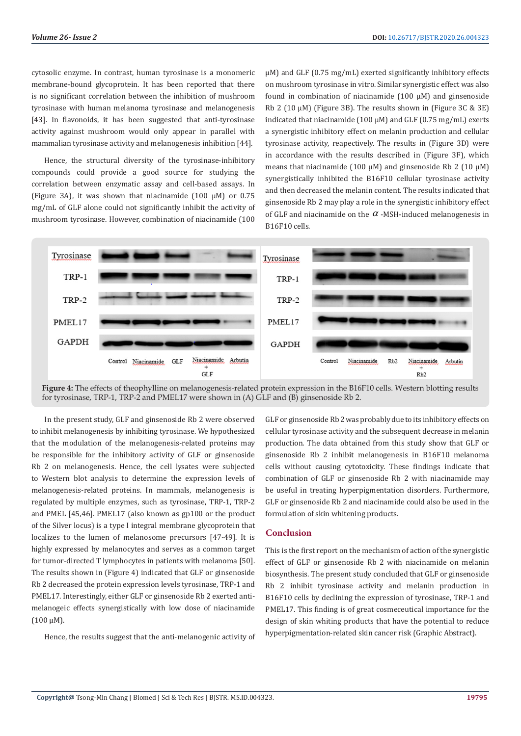cytosolic enzyme. In contrast, human tyrosinase is a monomeric membrane-bound glycoprotein. It has been reported that there is no significant correlation between the inhibition of mushroom tyrosinase with human melanoma tyrosinase and melanogenesis [43]. In flavonoids, it has been suggested that anti-tyrosinase activity against mushroom would only appear in parallel with mammalian tyrosinase activity and melanogenesis inhibition [44].

Hence, the structural diversity of the tyrosinase-inhibitory compounds could provide a good source for studying the correlation between enzymatic assay and cell-based assays. In (Figure 3A), it was shown that niacinamide (100 μM) or 0.75 mg/mL of GLF alone could not significantly inhibit the activity of mushroom tyrosinase. However, combination of niacinamide (100 μM) and GLF (0.75 mg/mL) exerted significantly inhibitory effects on mushroom tyrosinase in vitro. Similar synergistic effect was also found in combination of niacinamide (100 μM) and ginsenoside Rb 2 (10 μM) (Figure 3B). The results shown in (Figure 3C & 3E) indicated that niacinamide (100  $\mu$ M) and GLF (0.75 mg/mL) exerts a synergistic inhibitory effect on melanin production and cellular tyrosinase activity, reapectively. The results in (Figure 3D) were in accordance with the results described in (Figure 3F), which means that niacinamide (100  $\mu$ M) and ginsenoside Rb 2 (10  $\mu$ M) synergistically inhibited the B16F10 cellular tyrosinase activity and then decreased the melanin content. The results indicated that ginsenoside Rb 2 may play a role in the synergistic inhibitory effect of GLF and niacinamide on the  $\alpha$  -MSH-induced melanogenesis in B16F10 cells.



**Figure 4:** The effects of theophylline on melanogenesis-related protein expression in the B16F10 cells. Western blotting results for tyrosinase, TRP-1, TRP-2 and PMEL17 were shown in (A) GLF and (B) ginsenoside Rb 2.

In the present study, GLF and ginsenoside Rb 2 were observed to inhibit melanogenesis by inhibiting tyrosinase. We hypothesized that the modulation of the melanogenesis-related proteins may be responsible for the inhibitory activity of GLF or ginsenoside Rb 2 on melanogenesis. Hence, the cell lysates were subjected to Western blot analysis to determine the expression levels of melanogenesis-related proteins. In mammals, melanogenesis is regulated by multiple enzymes, such as tyrosinase, TRP-1, TRP-2 and PMEL [45,46]. PMEL17 (also known as gp100 or the product of the Silver locus) is a type I integral membrane glycoprotein that localizes to the lumen of melanosome precursors [47-49]. It is highly expressed by melanocytes and serves as a common target for tumor-directed T lymphocytes in patients with melanoma [50]. The results shown in (Figure 4) indicated that GLF or ginsenoside Rb 2 decreased the protein expression levels tyrosinase, TRP-1 and PMEL17. Interestingly, either GLF or ginsenoside Rb 2 exerted antimelanogeic effects synergistically with low dose of niacinamide (100 μM).

Hence, the results suggest that the anti-melanogenic activity of

GLF or ginsenoside Rb 2 was probably due to its inhibitory effects on cellular tyrosinase activity and the subsequent decrease in melanin production. The data obtained from this study show that GLF or ginsenoside Rb 2 inhibit melanogenesis in B16F10 melanoma cells without causing cytotoxicity. These findings indicate that combination of GLF or ginsenoside Rb 2 with niacinamide may be useful in treating hyperpigmentation disorders. Furthermore, GLF or ginsenoside Rb 2 and niacinamide could also be used in the formulation of skin whitening products.

# **Conclusion**

This is the first report on the mechanism of action of the synergistic effect of GLF or ginsenoside Rb 2 with niacinamide on melanin biosynthesis. The present study concluded that GLF or ginsenoside Rb 2 inhibit tyrosinase activity and melanin production in B16F10 cells by declining the expression of tyrosinase, TRP-1 and PMEL17. This finding is of great cosmeceutical importance for the design of skin whiting products that have the potential to reduce hyperpigmentation-related skin cancer risk (Graphic Abstract).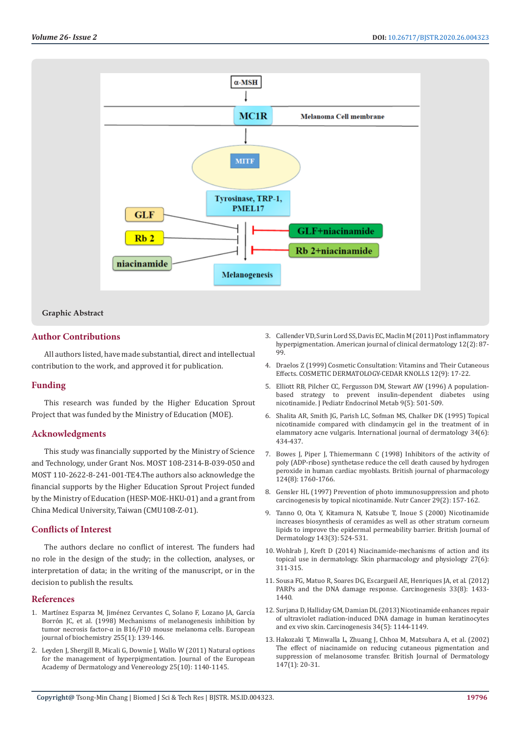

# **Graphic Abstract**

# **Author Contributions**

All authors listed, have made substantial, direct and intellectual contribution to the work, and approved it for publication.

# **Funding**

This research was funded by the Higher Education Sprout Project that was funded by the Ministry of Education (MOE).

# **Acknowledgments**

This study was financially supported by the Ministry of Science and Technology, under Grant Nos. MOST 108-2314-B-039-050 and MOST 110-2622-8-241-001-TE4.The authors also acknowledge the financial supports by the Higher Education Sprout Project funded by the Ministry of Education (HESP-MOE-HKU-01) and a grant from China Medical University, Taiwan (CMU108-Z-01).

# **Conflicts of Interest**

The authors declare no conflict of interest. The funders had no role in the design of the study; in the collection, analyses, or interpretation of data; in the writing of the manuscript, or in the decision to publish the results.

#### **References**

- 1. [Martínez Esparza M, Jiménez Cervantes C, Solano F, Lozano JA, García](https://www.ncbi.nlm.nih.gov/pubmed/9692912)  [Borrón JC, et al. \(1998\) Mechanisms of melanogenesis inhibition by](https://www.ncbi.nlm.nih.gov/pubmed/9692912)  [tumor necrosis factor‐α in B16/F10 mouse melanoma cells. European](https://www.ncbi.nlm.nih.gov/pubmed/9692912)  [journal of biochemistry 255\(1\): 139-146.](https://www.ncbi.nlm.nih.gov/pubmed/9692912)
- 2. [Leyden J, Shergill B, Micali G, Downie J, Wallo W \(2011\) Natural options](https://www.ncbi.nlm.nih.gov/pubmed/21623927)  [for the management of hyperpigmentation. Journal of the European](https://www.ncbi.nlm.nih.gov/pubmed/21623927)  [Academy of Dermatology and Venereology 25\(10\): 1140-1145.](https://www.ncbi.nlm.nih.gov/pubmed/21623927)
- 3. Callender VD, Surin Lord SS, Davis EC, Maclin M (2011) Post inflammatory hyperpigmentation. American journal of clinical dermatology 12(2): 87- 99.
- 4. Draelos Z (1999) Cosmetic Consultation: Vitamins and Their Cutaneous Effects. COSMETIC DERMATOLOGY-CEDAR KNOLLS 12(9): 17-22.
- 5. [Elliott RB, Pilcher CC, Fergusson DM, Stewart AW \(1996\) A population](https://www.ncbi.nlm.nih.gov/pubmed/8961125)[based strategy to prevent insulin-dependent diabetes using](https://www.ncbi.nlm.nih.gov/pubmed/8961125) [nicotinamide. J Pediatr Endocrinol Metab 9\(5\): 501-509.](https://www.ncbi.nlm.nih.gov/pubmed/8961125)
- 6. [Shalita AR, Smith JG, Parish LC, Sofman MS, Chalker DK \(1995\) Topical](https://www.ncbi.nlm.nih.gov/pubmed/7657446) [nicotinamide compared with clindamycin gel in the treatment of in](https://www.ncbi.nlm.nih.gov/pubmed/7657446) [elammatory acne vulgaris. International journal of dermatology 34\(6\):](https://www.ncbi.nlm.nih.gov/pubmed/7657446) [434-437.](https://www.ncbi.nlm.nih.gov/pubmed/7657446)
- 7. [Bowes J, Piper J, Thiemermann C \(1998\) Inhibitors of the activity of](https://www.ncbi.nlm.nih.gov/pubmed/9756394) [poly \(ADP-ribose\) synthetase reduce the cell death caused by hydrogen](https://www.ncbi.nlm.nih.gov/pubmed/9756394) [peroxide in human cardiac myoblasts. British journal of pharmacology](https://www.ncbi.nlm.nih.gov/pubmed/9756394) [124\(8\): 1760-1766.](https://www.ncbi.nlm.nih.gov/pubmed/9756394)
- 8. [Gensler HL \(1997\) Prevention of photo immunosuppression and photo](https://www.ncbi.nlm.nih.gov/pubmed/9427980) [carcinogenesis by topical nicotinamide. Nutr Cancer 29\(2\): 157-162.](https://www.ncbi.nlm.nih.gov/pubmed/9427980)
- 9. [Tanno O, Ota Y, Kitamura N, Katsube T, Inoue S \(2000\) Nicotinamide](https://www.ncbi.nlm.nih.gov/pubmed/10971324) [increases biosynthesis of ceramides as well as other stratum corneum](https://www.ncbi.nlm.nih.gov/pubmed/10971324) [lipids to improve the epidermal permeability barrier. British Journal of](https://www.ncbi.nlm.nih.gov/pubmed/10971324) [Dermatology 143\(3\): 524-531.](https://www.ncbi.nlm.nih.gov/pubmed/10971324)
- 10. [Wohlrab J, Kreft D \(2014\) Niacinamide-mechanisms of action and its](https://www.ncbi.nlm.nih.gov/pubmed/24993939) [topical use in dermatology. Skin pharmacology and physiology 27\(6\):](https://www.ncbi.nlm.nih.gov/pubmed/24993939) [311-315.](https://www.ncbi.nlm.nih.gov/pubmed/24993939)
- 11. [Sousa FG, Matuo R, Soares DG, Escargueil AE, Henriques JA, et al. \(2012\)](https://www.ncbi.nlm.nih.gov/pubmed/22431722) [PARPs and the DNA damage response. Carcinogenesis 33\(8\): 1433-](https://www.ncbi.nlm.nih.gov/pubmed/22431722) [1440.](https://www.ncbi.nlm.nih.gov/pubmed/22431722)
- 12. [Surjana D, Halliday GM, Damian DL \(2013\) Nicotinamide enhances repair](https://www.ncbi.nlm.nih.gov/pubmed/23349012) [of ultraviolet radiation-induced DNA damage in human keratinocytes](https://www.ncbi.nlm.nih.gov/pubmed/23349012) [and ex vivo skin. Carcinogenesis 34\(5\): 1144-1149.](https://www.ncbi.nlm.nih.gov/pubmed/23349012)
- 13. [Hakozaki T, Minwalla L, Zhuang J, Chhoa M, Matsubara A, et al. \(2002\)](https://www.ncbi.nlm.nih.gov/pubmed/12100180) [The effect of niacinamide on reducing cutaneous pigmentation and](https://www.ncbi.nlm.nih.gov/pubmed/12100180) [suppression of melanosome transfer. British Journal of Dermatology](https://www.ncbi.nlm.nih.gov/pubmed/12100180) [147\(1\): 20-31.](https://www.ncbi.nlm.nih.gov/pubmed/12100180)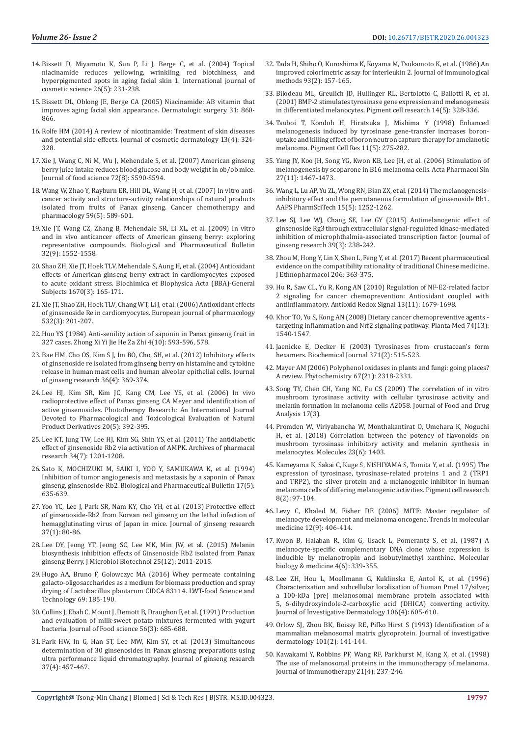- 14. [Bissett D, Miyamoto K, Sun P, Li J, Berge C, et al. \(2004\) Topical](https://www.ncbi.nlm.nih.gov/pubmed/18492135)  [niacinamide reduces yellowing, wrinkling, red blotchiness, and](https://www.ncbi.nlm.nih.gov/pubmed/18492135)  [hyperpigmented spots in aging facial skin 1. International journal of](https://www.ncbi.nlm.nih.gov/pubmed/18492135)  [cosmetic science 26\(5\): 231-238.](https://www.ncbi.nlm.nih.gov/pubmed/18492135)
- 15. [Bissett DL, Oblong JE, Berge CA \(2005\) Niacinamide: AB vitamin that](https://www.ncbi.nlm.nih.gov/pubmed/16029679)  [improves aging facial skin appearance. Dermatologic surgery 31: 860-](https://www.ncbi.nlm.nih.gov/pubmed/16029679) [866.](https://www.ncbi.nlm.nih.gov/pubmed/16029679)
- 16. [Rolfe HM \(2014\) A review of nicotinamide: Treatment of skin diseases](https://www.ncbi.nlm.nih.gov/pubmed/25399625)  [and potential side effects. Journal of cosmetic dermatology 13\(4\): 324-](https://www.ncbi.nlm.nih.gov/pubmed/25399625) [328.](https://www.ncbi.nlm.nih.gov/pubmed/25399625)
- 17. [Xie J, Wang C, Ni M, Wu J, Mehendale S, et al. \(2007\) American ginseng](https://www.ncbi.nlm.nih.gov/pmc/articles/PMC2658891/)  [berry juice intake reduces blood glucose and body weight in ob/ob mice.](https://www.ncbi.nlm.nih.gov/pmc/articles/PMC2658891/)  [Journal of food science 72\(8\): S590-S594.](https://www.ncbi.nlm.nih.gov/pmc/articles/PMC2658891/)
- 18. [Wang W, Zhao Y, Rayburn ER, Hill DL, Wang H, et al. \(2007\) In vitro anti](https://www.ncbi.nlm.nih.gov/pubmed/16924497)[cancer activity and structure-activity relationships of natural products](https://www.ncbi.nlm.nih.gov/pubmed/16924497)  [isolated from fruits of Panax ginseng. Cancer chemotherapy and](https://www.ncbi.nlm.nih.gov/pubmed/16924497)  [pharmacology 59\(5\): 589-601.](https://www.ncbi.nlm.nih.gov/pubmed/16924497)
- 19. Xie JT, Wang CZ, Zhang B, Mehendale SR, Li XL, et al. (2009) In vitro and in vivo anticancer effects of American ginseng berry: exploring representative compounds. Biological and Pharmaceutical Bulletin 32(9): 1552-1558.
- 20. [Shao ZH, Xie JT, Hoek TLV, Mehendale S, Aung H, et al. \(2004\) Antioxidant](https://www.ncbi.nlm.nih.gov/pubmed/14980443)  [effects of American ginseng berry extract in cardiomyocytes exposed](https://www.ncbi.nlm.nih.gov/pubmed/14980443)  [to acute oxidant stress. Biochimica et Biophysica Acta \(BBA\)-General](https://www.ncbi.nlm.nih.gov/pubmed/14980443)  [Subjects 1670\(3\): 165-171.](https://www.ncbi.nlm.nih.gov/pubmed/14980443)
- 21. [Xie JT, Shao ZH, Hoek TLV, Chang WT, Li J, et al. \(2006\) Antioxidant effects](https://www.ncbi.nlm.nih.gov/pubmed/16497296)  [of ginsenoside Re in cardiomyocytes. European journal of pharmacology](https://www.ncbi.nlm.nih.gov/pubmed/16497296)  [532\(3\): 201-207.](https://www.ncbi.nlm.nih.gov/pubmed/16497296)
- 22. [Huo YS \(1984\) Anti-senility action of saponin in Panax ginseng fruit in](https://www.ncbi.nlm.nih.gov/pubmed/6097365)  [327 cases. Zhong Xi Yi Jie He Za Zhi 4\(10\): 593-596, 578.](https://www.ncbi.nlm.nih.gov/pubmed/6097365)
- 23. [Bae HM, Cho OS, Kim S J, Im BO, Cho, SH, et al. \(2012\) Inhibitory effects](https://www.ncbi.nlm.nih.gov/pubmed/23717138)  [of ginsenoside re isolated from ginseng berry on histamine and cytokine](https://www.ncbi.nlm.nih.gov/pubmed/23717138)  [release in human mast cells and human alveolar epithelial cells. Journal](https://www.ncbi.nlm.nih.gov/pubmed/23717138)  [of ginseng research 36\(4\): 369-374.](https://www.ncbi.nlm.nih.gov/pubmed/23717138)
- 24. [Lee HJ, Kim SR, Kim JC, Kang CM, Lee YS, et al. \(2006\) In vivo](https://www.ncbi.nlm.nih.gov/pubmed/16619368)  [radioprotective effect of Panax ginseng CA Meyer and identification of](https://www.ncbi.nlm.nih.gov/pubmed/16619368)  [active ginsenosides. Phototherapy Research: An International Journal](https://www.ncbi.nlm.nih.gov/pubmed/16619368)  [Devoted to Pharmacological and Toxicological Evaluation of Natural](https://www.ncbi.nlm.nih.gov/pubmed/16619368)  [Product Derivatives 20\(5\): 392-395.](https://www.ncbi.nlm.nih.gov/pubmed/16619368)
- 25. [Lee KT, Jung TW, Lee HJ, Kim SG, Shin YS, et al. \(2011\) The antidiabetic](https://www.ncbi.nlm.nih.gov/pubmed/21811928)  [effect of ginsenoside Rb2 via activation of AMPK. Archives of pharmacal](https://www.ncbi.nlm.nih.gov/pubmed/21811928)  [research 34\(7\): 1201-1208.](https://www.ncbi.nlm.nih.gov/pubmed/21811928)
- 26. [Sato K, MOCHIZUKI M, SAIKI I, YOO Y, SAMUKAWA K, et al. \(1994\)](https://www.ncbi.nlm.nih.gov/pubmed/7522731)  [Inhibition of tumor angiogenesis and metastasis by a saponin of Panax](https://www.ncbi.nlm.nih.gov/pubmed/7522731)  [ginseng, ginsenoside-Rb2. Biological and Pharmaceutical Bulletin 17\(5\):](https://www.ncbi.nlm.nih.gov/pubmed/7522731)  [635-639.](https://www.ncbi.nlm.nih.gov/pubmed/7522731)
- 27. [Yoo YC, Lee J, Park SR, Nam KY, Cho YH, et al. \(2013\) Protective effect](https://www.ncbi.nlm.nih.gov/pubmed/23717160)  [of ginsenoside-Rb2 from Korean red ginseng on the lethal infection of](https://www.ncbi.nlm.nih.gov/pubmed/23717160)  [hemagglutinating virus of Japan in mice. Journal of ginseng research](https://www.ncbi.nlm.nih.gov/pubmed/23717160)  [37\(1\): 80-86.](https://www.ncbi.nlm.nih.gov/pubmed/23717160)
- 28. [Lee DY, Jeong YT, Jeong SC, Lee MK, Min JW, et al. \(2015\) Melanin](https://www.ncbi.nlm.nih.gov/pubmed/26437949)  [biosynthesis inhibition effects of Ginsenoside Rb2 isolated from Panax](https://www.ncbi.nlm.nih.gov/pubmed/26437949)  [ginseng Berry. J Microbiol Biotechnol 25\(12\): 2011-2015.](https://www.ncbi.nlm.nih.gov/pubmed/26437949)
- 29. [Hugo AA, Bruno F, Golowczyc MA \(2016\) Whey permeate containing](https://www.sciencedirect.com/science/article/pii/S0023643816300317)  [galacto-oligosaccharides as a medium for biomass production and spray](https://www.sciencedirect.com/science/article/pii/S0023643816300317)  [drying of Lactobacillus plantarum CIDCA 83114. LWT-food Science and](https://www.sciencedirect.com/science/article/pii/S0023643816300317)  [Technology 69: 185-190.](https://www.sciencedirect.com/science/article/pii/S0023643816300317)
- 30. [Collins J, Ebah C, Mount J, Demott B, Draughon F, et al. \(1991\) Production](https://onlinelibrary.wiley.com/doi/abs/10.1111/j.1365-2621.1991.tb05356.x)  [and evaluation of milk-sweet potato mixtures fermented with yogurt](https://onlinelibrary.wiley.com/doi/abs/10.1111/j.1365-2621.1991.tb05356.x)  [bacteria. Journal of Food science 56\(3\): 685-688.](https://onlinelibrary.wiley.com/doi/abs/10.1111/j.1365-2621.1991.tb05356.x)
- 31. [Park HW, In G, Han ST, Lee MW, Kim SY, et al. \(2013\) Simultaneous](https://www.ncbi.nlm.nih.gov/pubmed/24235860)  [determination of 30 ginsenosides in Panax ginseng preparations using](https://www.ncbi.nlm.nih.gov/pubmed/24235860)  [ultra performance liquid chromatography. Journal of ginseng research](https://www.ncbi.nlm.nih.gov/pubmed/24235860)  [37\(4\): 457-467.](https://www.ncbi.nlm.nih.gov/pubmed/24235860)
- 32. [Tada H, Shiho O, Kuroshima K, Koyama M, Tsukamoto K, et al. \(1986\) An](https://www.ncbi.nlm.nih.gov/pubmed/3490518) [improved colorimetric assay for interleukin 2. Journal of immunological](https://www.ncbi.nlm.nih.gov/pubmed/3490518) [methods 93\(2\): 157-165.](https://www.ncbi.nlm.nih.gov/pubmed/3490518)
- 33. Bilodeau ML, Greulich ID, Hullinger RL, Bertolotto C, Ballotti R, et al. [\(2001\) BMP-2 stimulates tyrosinase gene expression and melanogenesis](https://www.ncbi.nlm.nih.gov/pubmed/11601654) [in differentiated melanocytes. Pigment cell research 14\(5\): 328-336.](https://www.ncbi.nlm.nih.gov/pubmed/11601654)
- 34. [Tsuboi T, Kondoh H, Hiratsuka J, Mishima Y \(1998\) Enhanced](https://www.ncbi.nlm.nih.gov/pubmed/9877098) [melanogenesis induced by tyrosinase gene-transfer increases boron](https://www.ncbi.nlm.nih.gov/pubmed/9877098)[uptake and killing effect of boron neutron capture therapy for amelanotic](https://www.ncbi.nlm.nih.gov/pubmed/9877098) [melanoma. Pigment Cell Res 11\(5\): 275-282.](https://www.ncbi.nlm.nih.gov/pubmed/9877098)
- 35. [Yang JY, Koo JH, Song YG, Kwon KB, Lee JH, et al. \(2006\) Stimulation of](https://www.ncbi.nlm.nih.gov/pubmed/17049123) [melanogenesis by scoparone in B16 melanoma cells. Acta Pharmacol Sin](https://www.ncbi.nlm.nih.gov/pubmed/17049123) [27\(11\): 1467-1473.](https://www.ncbi.nlm.nih.gov/pubmed/17049123)
- 36. [Wang L, Lu AP, Yu ZL, Wong RN, Bian ZX, et al. \(2014\) The melanogenesis](https://www.ncbi.nlm.nih.gov/pubmed/24895076)[inhibitory effect and the percutaneous formulation of ginsenoside Rb1.](https://www.ncbi.nlm.nih.gov/pubmed/24895076) [AAPS PharmSciTech 15\(5\): 1252-1262.](https://www.ncbi.nlm.nih.gov/pubmed/24895076)
- 37. [Lee SJ, Lee WJ, Chang SE, Lee GY \(2015\) Antimelanogenic effect of](https://www.ncbi.nlm.nih.gov/pmc/articles/PMC4506376/) [ginsenoside Rg3 through extracellular signal-regulated kinase-mediated](https://www.ncbi.nlm.nih.gov/pmc/articles/PMC4506376/) [inhibition of microphthalmia-associated transcription factor. Journal of](https://www.ncbi.nlm.nih.gov/pmc/articles/PMC4506376/) [ginseng research 39\(3\): 238-242.](https://www.ncbi.nlm.nih.gov/pmc/articles/PMC4506376/)
- 38. [Zhou M, Hong Y, Lin X, Shen L, Feng Y, et al. \(2017\) Recent pharmaceutical](https://www.ncbi.nlm.nih.gov/pubmed/28606807) [evidence on the compatibility rationality of traditional Chinese medicine.](https://www.ncbi.nlm.nih.gov/pubmed/28606807) [J Ethnopharmacol 206: 363-375.](https://www.ncbi.nlm.nih.gov/pubmed/28606807)
- 39. [Hu R, Saw CL, Yu R, Kong AN \(2010\) Regulation of NF-E2-related factor](https://www.ncbi.nlm.nih.gov/pmc/articles/PMC2966483/) [2 signaling for cancer chemoprevention: Antioxidant coupled with](https://www.ncbi.nlm.nih.gov/pmc/articles/PMC2966483/) [antiinflammatory. Antioxid Redox Signal 13\(11\): 1679-1698.](https://www.ncbi.nlm.nih.gov/pmc/articles/PMC2966483/)
- 40. [Khor TO, Yu S, Kong AN \(2008\) Dietary cancer chemopreventive agents](https://www.ncbi.nlm.nih.gov/pubmed/18937168)  [targeting inflammation and Nrf2 signaling pathway. Planta Med 74\(13\):](https://www.ncbi.nlm.nih.gov/pubmed/18937168) [1540-1547.](https://www.ncbi.nlm.nih.gov/pubmed/18937168)
- 41. [Jaenicke E, Decker H \(2003\) Tyrosinases from crustacean's form](https://www.ncbi.nlm.nih.gov/pubmed/12466021) [hexamers. Biochemical Journal 371\(2\): 515-523.](https://www.ncbi.nlm.nih.gov/pubmed/12466021)
- 42. [Mayer AM \(2006\) Polyphenol oxidases in plants and fungi: going places?](https://www.ncbi.nlm.nih.gov/pubmed/16973188) [A review. Phytochemistry 67\(21\): 2318-2331.](https://www.ncbi.nlm.nih.gov/pubmed/16973188)
- 43. Song TY, Chen CH, Yang NC, Fu CS (2009) The correlation of in vitro mushroom tyrosinase activity with cellular tyrosinase activity and melanin formation in melanoma cells A2058. Journal of Food and Drug Analysis 17(3).
- 44. [Promden W, Viriyabancha W, Monthakantirat O, Umehara K, Noguchi](https://www.ncbi.nlm.nih.gov/pubmed/29890751) [H, et al. \(2018\) Correlation between the potency of flavonoids on](https://www.ncbi.nlm.nih.gov/pubmed/29890751) [mushroom tyrosinase inhibitory activity and melanin synthesis in](https://www.ncbi.nlm.nih.gov/pubmed/29890751) [melanocytes. Molecules 23\(6\): 1403.](https://www.ncbi.nlm.nih.gov/pubmed/29890751)
- 45. [Kameyama K, Sakai C, Kuge S, NISHIYAMA S, Tomita Y, et al. \(1995\) The](https://www.ncbi.nlm.nih.gov/pubmed/7659683) [expression of tyrosinase, tyrosinase-related proteins 1 and 2 \(TRP1](https://www.ncbi.nlm.nih.gov/pubmed/7659683) [and TRP2\), the silver protein and a melanogenic inhibitor in human](https://www.ncbi.nlm.nih.gov/pubmed/7659683) [melanoma cells of differing melanogenic activities. Pigment cell research](https://www.ncbi.nlm.nih.gov/pubmed/7659683) [8\(2\): 97-104.](https://www.ncbi.nlm.nih.gov/pubmed/7659683)
- 46. [Levy C, Khaled M, Fisher DE \(2006\) MITF: Master regulator of](https://www.ncbi.nlm.nih.gov/pubmed/16899407) [melanocyte development and melanoma oncogene. Trends in molecular](https://www.ncbi.nlm.nih.gov/pubmed/16899407) [medicine 12\(9\): 406-414.](https://www.ncbi.nlm.nih.gov/pubmed/16899407)
- 47. [Kwon B, Halaban R, Kim G, Usack L, Pomerantz S, et al. \(1987\) A](https://www.ncbi.nlm.nih.gov/pubmed/2449595) [melanocyte-specific complementary DNA clone whose expression is](https://www.ncbi.nlm.nih.gov/pubmed/2449595) [inducible by melanotropin and isobutylmethyl xanthine. Molecular](https://www.ncbi.nlm.nih.gov/pubmed/2449595) [biology & medicine 4\(6\): 339-355.](https://www.ncbi.nlm.nih.gov/pubmed/2449595)
- 48. [Lee ZH, Hou L, Moellmann G, Kuklinska E, Antol K, et al. \(1996\)](https://www.ncbi.nlm.nih.gov/pubmed/8617992) [Characterization and subcellular localization of human Pmel 17/silver,](https://www.ncbi.nlm.nih.gov/pubmed/8617992) [a 100-kDa \(pre\) melanosomal membrane protein associated with](https://www.ncbi.nlm.nih.gov/pubmed/8617992) [5, 6-dihydroxyindole-2-carboxylic acid \(DHICA\) converting activity.](https://www.ncbi.nlm.nih.gov/pubmed/8617992) [Journal of Investigative Dermatology 106\(4\): 605-610.](https://www.ncbi.nlm.nih.gov/pubmed/8617992)
- 49. [Orlow SJ, Zhou BK, Boissy RE, Pifko Hirst S \(1993\) Identification of a](https://www.sciencedirect.com/science/article/pii/S0022202X9390429L) [mammalian melanosomal matrix glycoprotein. Journal of investigative](https://www.sciencedirect.com/science/article/pii/S0022202X9390429L) [dermatology 101\(2\): 141-144.](https://www.sciencedirect.com/science/article/pii/S0022202X9390429L)
- 50. [Kawakami Y, Robbins PF, Wang RF, Parkhurst M, Kang X, et al. \(1998\)](https://www.ncbi.nlm.nih.gov/pubmed/9672845) [The use of melanosomal proteins in the immunotherapy of melanoma.](https://www.ncbi.nlm.nih.gov/pubmed/9672845) [Journal of immunotherapy 21\(4\): 237-246.](https://www.ncbi.nlm.nih.gov/pubmed/9672845)